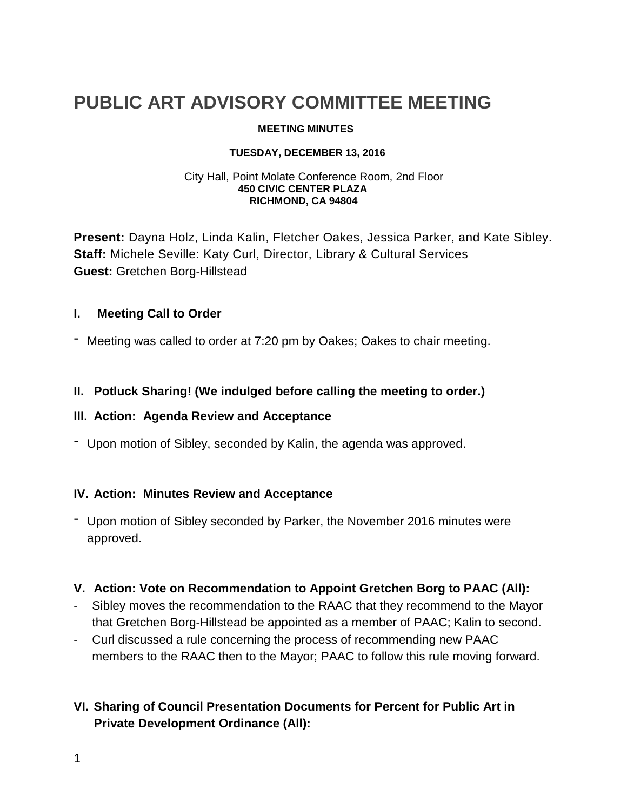# **PUBLIC ART ADVISORY COMMITTEE MEETING**

#### **MEETING MINUTES**

#### **TUESDAY, DECEMBER 13, 2016**

#### City Hall, Point Molate Conference Room, 2nd Floor  **450 CIVIC CENTER PLAZA RICHMOND, CA 94804**

**Present:** Dayna Holz, Linda Kalin, Fletcher Oakes, Jessica Parker, and Kate Sibley. **Staff:** Michele Seville: Katy Curl, Director, Library & Cultural Services **Guest:** Gretchen Borg-Hillstead

#### **I. Meeting Call to Order**

- Meeting was called to order at 7:20 pm by Oakes; Oakes to chair meeting.

### **II. Potluck Sharing! (We indulged before calling the meeting to order.)**

#### **III. Action: Agenda Review and Acceptance**

- Upon motion of Sibley, seconded by Kalin, the agenda was approved.

#### **IV. Action: Minutes Review and Acceptance**

- Upon motion of Sibley seconded by Parker, the November 2016 minutes were approved.

#### **V. Action: Vote on Recommendation to Appoint Gretchen Borg to PAAC (All):**

- Sibley moves the recommendation to the RAAC that they recommend to the Mayor that Gretchen Borg-Hillstead be appointed as a member of PAAC; Kalin to second.
- Curl discussed a rule concerning the process of recommending new PAAC members to the RAAC then to the Mayor; PAAC to follow this rule moving forward.

## **VI. Sharing of Council Presentation Documents for Percent for Public Art in Private Development Ordinance (All):**